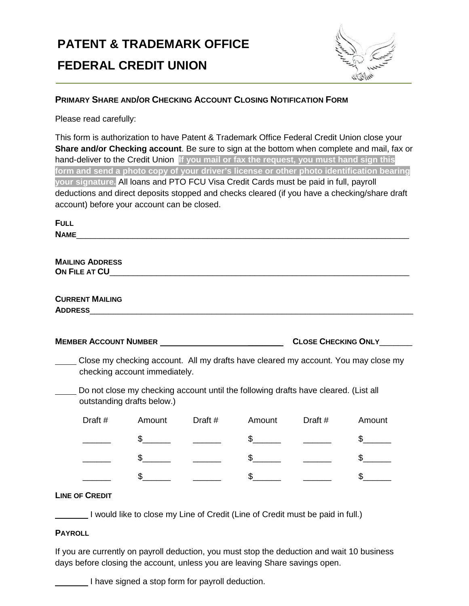# **PATENT & TRADEMARK OFFICE FEDERAL CREDIT UNION**



# **PRIMARY SHARE AND/OR CHECKING ACCOUNT CLOSING NOTIFICATION FORM**

Please read carefully:

This form is authorization to have Patent & Trademark Office Federal Credit Union close your **Share and/or Checking account**. Be sure to sign at the bottom when complete and mail, fax or hand-deliver to the Credit Union. **If you mail or fax the request, you must hand sign this form and send a photo copy of your driver's license or other photo identification bearing your signature.** All loans and PTO FCU Visa Credit Cards must be paid in full, payroll deductions and direct deposits stopped and checks cleared (if you have a checking/share draft account) before your account can be closed.

| <b>FULL</b>                                                                                                         |  |               |                                                                                                                                                                                                                                                                                                                     |                                                                                                                                                                                                                                                                                                                                                                                                                                                                                                                                          |         |               |  |  |  |  |
|---------------------------------------------------------------------------------------------------------------------|--|---------------|---------------------------------------------------------------------------------------------------------------------------------------------------------------------------------------------------------------------------------------------------------------------------------------------------------------------|------------------------------------------------------------------------------------------------------------------------------------------------------------------------------------------------------------------------------------------------------------------------------------------------------------------------------------------------------------------------------------------------------------------------------------------------------------------------------------------------------------------------------------------|---------|---------------|--|--|--|--|
| <b>NAME</b><br><u> 1980 - Jan James James Barnett, fransk politik (d. 1980)</u>                                     |  |               |                                                                                                                                                                                                                                                                                                                     |                                                                                                                                                                                                                                                                                                                                                                                                                                                                                                                                          |         |               |  |  |  |  |
| <b>MAILING ADDRESS</b>                                                                                              |  |               |                                                                                                                                                                                                                                                                                                                     |                                                                                                                                                                                                                                                                                                                                                                                                                                                                                                                                          |         |               |  |  |  |  |
| <b>CURRENT MAILING</b>                                                                                              |  |               |                                                                                                                                                                                                                                                                                                                     |                                                                                                                                                                                                                                                                                                                                                                                                                                                                                                                                          |         |               |  |  |  |  |
|                                                                                                                     |  |               |                                                                                                                                                                                                                                                                                                                     |                                                                                                                                                                                                                                                                                                                                                                                                                                                                                                                                          |         |               |  |  |  |  |
| <b>CLOSE CHECKING ONLY</b>                                                                                          |  |               |                                                                                                                                                                                                                                                                                                                     |                                                                                                                                                                                                                                                                                                                                                                                                                                                                                                                                          |         |               |  |  |  |  |
| Close my checking account. All my drafts have cleared my account. You may close my<br>checking account immediately. |  |               |                                                                                                                                                                                                                                                                                                                     |                                                                                                                                                                                                                                                                                                                                                                                                                                                                                                                                          |         |               |  |  |  |  |
| Do not close my checking account until the following drafts have cleared. (List all<br>outstanding drafts below.)   |  |               |                                                                                                                                                                                                                                                                                                                     |                                                                                                                                                                                                                                                                                                                                                                                                                                                                                                                                          |         |               |  |  |  |  |
| Draft $#$                                                                                                           |  | Amount        | Draft #                                                                                                                                                                                                                                                                                                             | Amount                                                                                                                                                                                                                                                                                                                                                                                                                                                                                                                                   | Draft # | Amount        |  |  |  |  |
|                                                                                                                     |  |               | $\frac{1}{2}$ $\frac{1}{2}$ $\frac{1}{2}$ $\frac{1}{2}$ $\frac{1}{2}$ $\frac{1}{2}$ $\frac{1}{2}$ $\frac{1}{2}$ $\frac{1}{2}$ $\frac{1}{2}$ $\frac{1}{2}$ $\frac{1}{2}$ $\frac{1}{2}$ $\frac{1}{2}$ $\frac{1}{2}$ $\frac{1}{2}$ $\frac{1}{2}$ $\frac{1}{2}$ $\frac{1}{2}$ $\frac{1}{2}$ $\frac{1}{2}$ $\frac{1}{2}$ | $\begin{array}{ccccccccc}\n\text{\bf $s$} & \text{\bf \textbf{---}} & \text{\bf \textbf{---}} & \text{\bf \textbf{---}} & \text{\bf \textbf{---}} & \text{\bf \textbf{---}} & \text{\bf \textbf{---}} & \text{\bf \textbf{---}} & \text{\bf \textbf{---}} & \text{\bf \textbf{---}} & \text{\bf \textbf{---}} & \text{\bf \textbf{---}} & \text{\bf \textbf{---}} & \text{\bf \textbf{---}} & \text{\bf \textbf{---}} & \text{\bf \textbf{---}} & \text{\bf \textbf{---}} & \text{\bf \textbf{---}} & \text{\bf \textbf{---}} & \text{\$ |         | $\frac{1}{2}$ |  |  |  |  |
|                                                                                                                     |  | $\frac{1}{2}$ |                                                                                                                                                                                                                                                                                                                     | $\frac{1}{2}$                                                                                                                                                                                                                                                                                                                                                                                                                                                                                                                            |         | $\mathfrak s$ |  |  |  |  |
|                                                                                                                     |  | $\mathbb{S}$  |                                                                                                                                                                                                                                                                                                                     | \$                                                                                                                                                                                                                                                                                                                                                                                                                                                                                                                                       |         | \$            |  |  |  |  |

# **LINE OF CREDIT**

I would like to close my Line of Credit (Line of Credit must be paid in full.)

# **PAYROLL**

If you are currently on payroll deduction, you must stop the deduction and wait 10 business days before closing the account, unless you are leaving Share savings open.

I have signed a stop form for payroll deduction.